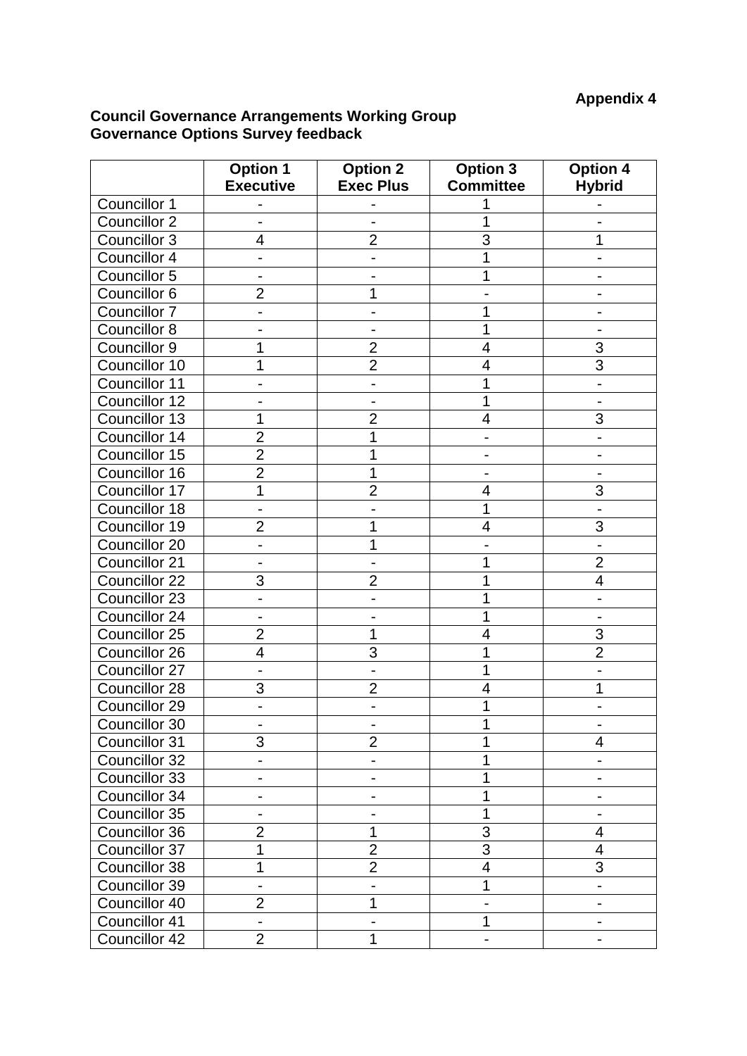#### **Council Governance Arrangements Working Group Governance Options Survey feedback**

| <b>Executive</b><br><b>Exec Plus</b><br><b>Committee</b><br><b>Hybrid</b><br>Councillor 1<br>1<br>-<br>-<br>Councillor 2<br>1 |  |
|-------------------------------------------------------------------------------------------------------------------------------|--|
|                                                                                                                               |  |
|                                                                                                                               |  |
| $\overline{2}$<br>3<br>Councillor 3<br>4<br>1                                                                                 |  |
| Councillor 4<br>1                                                                                                             |  |
| Councillor 5<br>1                                                                                                             |  |
| Councillor 6<br>$\overline{2}$<br>1                                                                                           |  |
| Councillor 7<br>1                                                                                                             |  |
| Councillor 8<br>1                                                                                                             |  |
| Councillor 9<br>2<br>3<br>1<br>4                                                                                              |  |
| $\overline{3}$<br>Councillor 10<br>$\overline{2}$<br>1<br>4                                                                   |  |
| Councillor 11<br>1                                                                                                            |  |
| Councillor 12<br>1<br>$\overline{\phantom{a}}$<br>-                                                                           |  |
| Councillor 13<br>$\overline{2}$<br>3<br>1<br>4                                                                                |  |
| Councillor 14<br>$\overline{2}$<br>1                                                                                          |  |
| Councillor 15<br>$\overline{2}$<br>1                                                                                          |  |
| Councillor 16<br>$\overline{2}$<br>1                                                                                          |  |
| <b>Councillor 17</b><br>$\overline{2}$<br>3<br>1<br>4                                                                         |  |
| Councillor 18<br>1                                                                                                            |  |
| Councillor 19<br>$\overline{2}$<br>3<br>1<br>4                                                                                |  |
| Councillor 20<br>1                                                                                                            |  |
| Councillor 21<br>$\overline{2}$<br>1                                                                                          |  |
| <b>Councillor 22</b><br>3<br>$\overline{2}$<br>4<br>1                                                                         |  |
| Councillor 23<br>1<br>-                                                                                                       |  |
| Councillor 24<br>1                                                                                                            |  |
| 3<br>Councillor 25<br>$\overline{2}$<br>1<br>4                                                                                |  |
| $\overline{2}$<br>Councillor 26<br>3<br>1<br>4                                                                                |  |
| Councillor 27<br>1<br>-<br>$\overline{\phantom{0}}$                                                                           |  |
| <b>Councillor 28</b><br>3<br>$\overline{2}$<br>4<br>1                                                                         |  |
| Councillor 29<br>1                                                                                                            |  |
| Councillor 30<br>Ί                                                                                                            |  |
| 3<br>$\overline{2}$<br>Councillor 31<br>1<br>4                                                                                |  |
| Councillor 32<br>1                                                                                                            |  |
| Councillor 33<br>1                                                                                                            |  |
| Councillor 34<br>1<br>$\overline{\phantom{0}}$                                                                                |  |
| Councillor 35<br>1<br>$\qquad \qquad \blacksquare$<br>-                                                                       |  |
| $\overline{3}$<br>Councillor 36<br>$\overline{2}$<br>1<br>4                                                                   |  |
| $\overline{3}$<br>$\overline{2}$<br>1<br>Councillor 37<br>4                                                                   |  |
| $\overline{2}$<br>$\overline{3}$<br>Councillor 38<br>1<br>4                                                                   |  |
| 1<br>Councillor 39                                                                                                            |  |
| $\overline{2}$<br>Councillor 40<br>1<br>$\qquad \qquad \blacksquare$<br>$\qquad \qquad \blacksquare$                          |  |
| Councillor 41<br>1                                                                                                            |  |
| $\overline{2}$<br>1<br>Councillor 42                                                                                          |  |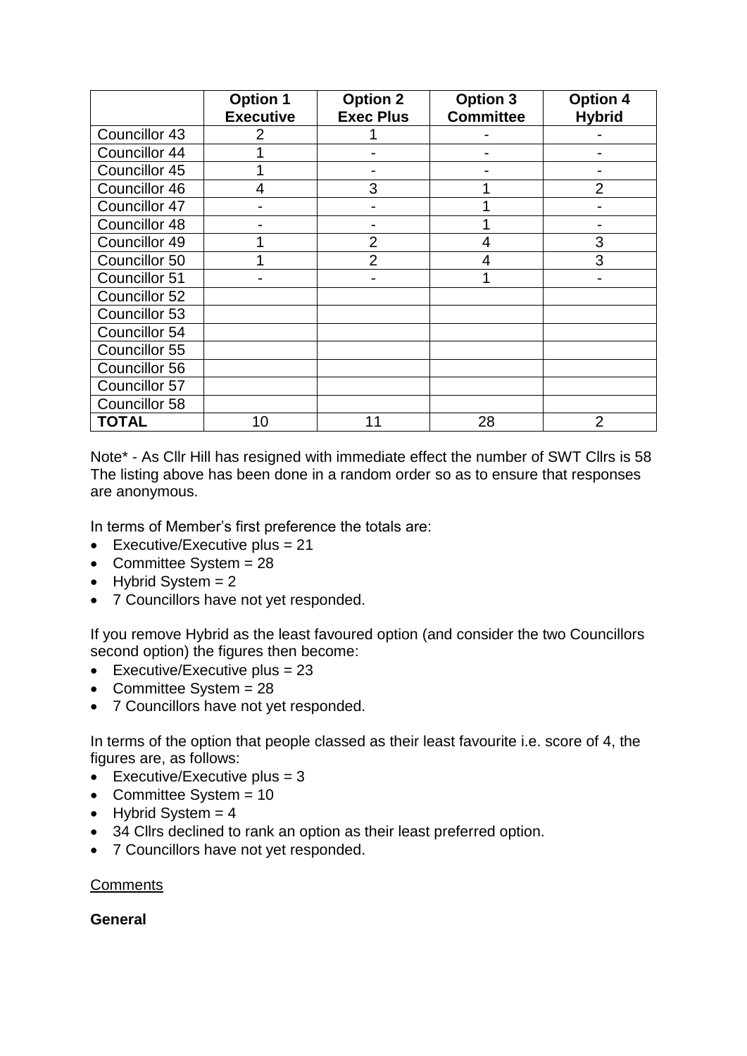|                      | <b>Option 1</b><br><b>Executive</b> | <b>Option 2</b><br><b>Exec Plus</b> | <b>Option 3</b><br><b>Committee</b> | <b>Option 4</b><br><b>Hybrid</b> |
|----------------------|-------------------------------------|-------------------------------------|-------------------------------------|----------------------------------|
| Councillor 43        | 2                                   |                                     |                                     |                                  |
| Councillor 44        |                                     |                                     |                                     |                                  |
| Councillor 45        |                                     |                                     |                                     |                                  |
| Councillor 46        | 4                                   | 3                                   |                                     | 2                                |
| Councillor 47        |                                     |                                     |                                     |                                  |
| <b>Councillor 48</b> |                                     |                                     |                                     |                                  |
| Councillor 49        |                                     | $\overline{2}$                      | 4                                   | 3                                |
| Councillor 50        |                                     | $\mathcal{P}$                       | 4                                   | 3                                |
| Councillor 51        |                                     |                                     |                                     |                                  |
| Councillor 52        |                                     |                                     |                                     |                                  |
| Councillor 53        |                                     |                                     |                                     |                                  |
| Councillor 54        |                                     |                                     |                                     |                                  |
| Councillor 55        |                                     |                                     |                                     |                                  |
| Councillor 56        |                                     |                                     |                                     |                                  |
| Councillor 57        |                                     |                                     |                                     |                                  |
| Councillor 58        |                                     |                                     |                                     |                                  |
| <b>TOTAL</b>         | 10                                  |                                     | 28                                  | 2                                |

Note\* - As Cllr Hill has resigned with immediate effect the number of SWT Cllrs is 58 The listing above has been done in a random order so as to ensure that responses are anonymous.

In terms of Member's first preference the totals are:

- $\bullet$  Executive/Executive plus = 21
- Committee System  $= 28$
- $\bullet$  Hybrid System = 2
- 7 Councillors have not yet responded.

If you remove Hybrid as the least favoured option (and consider the two Councillors second option) the figures then become:

- $\bullet$  Executive/Executive plus = 23
- Committee System  $= 28$
- 7 Councillors have not yet responded.

In terms of the option that people classed as their least favourite i.e. score of 4, the figures are, as follows:

- $\bullet$  Executive/Executive plus = 3
- Committee System = 10
- $\bullet$  Hybrid System = 4
- 34 Cllrs declined to rank an option as their least preferred option.
- 7 Councillors have not yet responded.

**Comments** 

**General**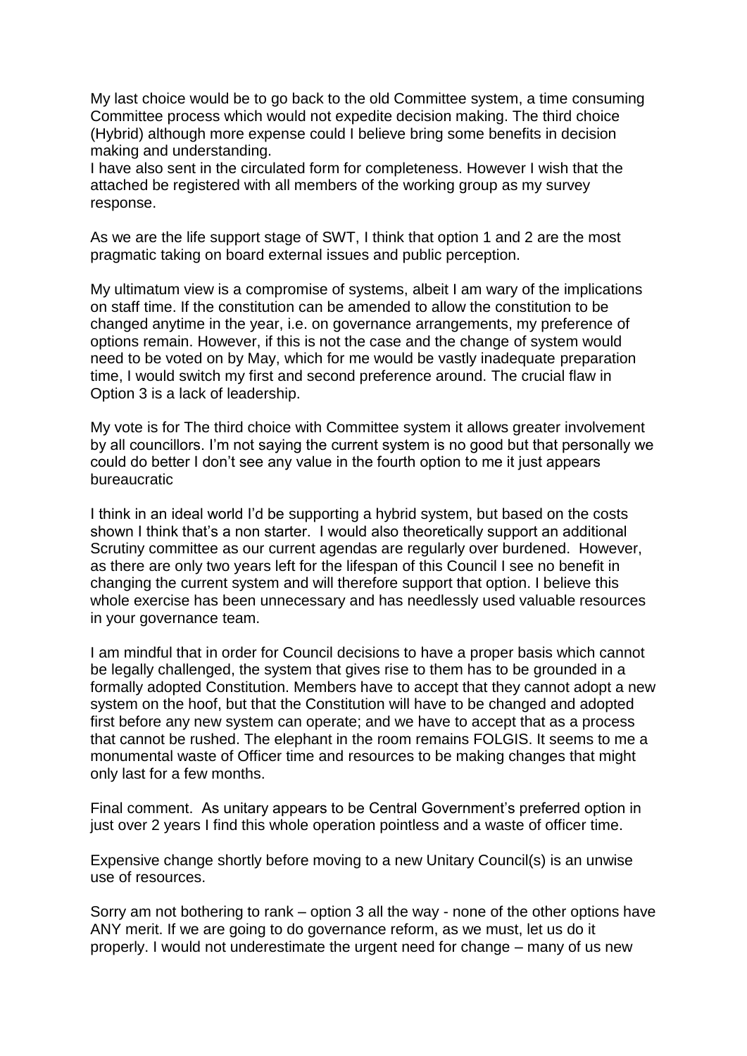My last choice would be to go back to the old Committee system, a time consuming Committee process which would not expedite decision making. The third choice (Hybrid) although more expense could I believe bring some benefits in decision making and understanding.

I have also sent in the circulated form for completeness. However I wish that the attached be registered with all members of the working group as my survey response.

As we are the life support stage of SWT, I think that option 1 and 2 are the most pragmatic taking on board external issues and public perception.

My ultimatum view is a compromise of systems, albeit I am wary of the implications on staff time. If the constitution can be amended to allow the constitution to be changed anytime in the year, i.e. on governance arrangements, my preference of options remain. However, if this is not the case and the change of system would need to be voted on by May, which for me would be vastly inadequate preparation time, I would switch my first and second preference around. The crucial flaw in Option 3 is a lack of leadership.

My vote is for The third choice with Committee system it allows greater involvement by all councillors. I'm not saying the current system is no good but that personally we could do better I don't see any value in the fourth option to me it just appears bureaucratic

I think in an ideal world I'd be supporting a hybrid system, but based on the costs shown I think that's a non starter. I would also theoretically support an additional Scrutiny committee as our current agendas are regularly over burdened. However, as there are only two years left for the lifespan of this Council I see no benefit in changing the current system and will therefore support that option. I believe this whole exercise has been unnecessary and has needlessly used valuable resources in your governance team.

I am mindful that in order for Council decisions to have a proper basis which cannot be legally challenged, the system that gives rise to them has to be grounded in a formally adopted Constitution. Members have to accept that they cannot adopt a new system on the hoof, but that the Constitution will have to be changed and adopted first before any new system can operate; and we have to accept that as a process that cannot be rushed. The elephant in the room remains FOLGIS. It seems to me a monumental waste of Officer time and resources to be making changes that might only last for a few months.

Final comment. As unitary appears to be Central Government's preferred option in just over 2 years I find this whole operation pointless and a waste of officer time.

Expensive change shortly before moving to a new Unitary Council(s) is an unwise use of resources.

Sorry am not bothering to rank – option 3 all the way - none of the other options have ANY merit. If we are going to do governance reform, as we must, let us do it properly. I would not underestimate the urgent need for change – many of us new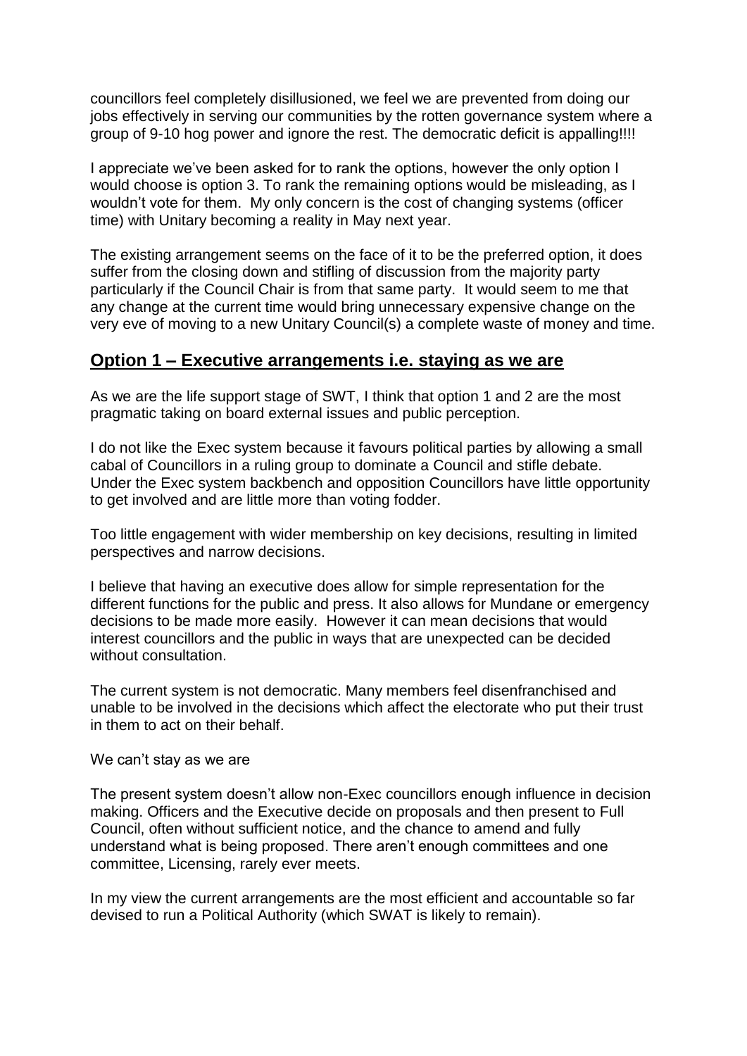councillors feel completely disillusioned, we feel we are prevented from doing our jobs effectively in serving our communities by the rotten governance system where a group of 9-10 hog power and ignore the rest. The democratic deficit is appalling!!!!

I appreciate we've been asked for to rank the options, however the only option I would choose is option 3. To rank the remaining options would be misleading, as I wouldn't vote for them. My only concern is the cost of changing systems (officer time) with Unitary becoming a reality in May next year.

The existing arrangement seems on the face of it to be the preferred option, it does suffer from the closing down and stifling of discussion from the majority party particularly if the Council Chair is from that same party. It would seem to me that any change at the current time would bring unnecessary expensive change on the very eve of moving to a new Unitary Council(s) a complete waste of money and time.

### **Option 1 – Executive arrangements i.e. staying as we are**

As we are the life support stage of SWT, I think that option 1 and 2 are the most pragmatic taking on board external issues and public perception.

I do not like the Exec system because it favours political parties by allowing a small cabal of Councillors in a ruling group to dominate a Council and stifle debate. Under the Exec system backbench and opposition Councillors have little opportunity to get involved and are little more than voting fodder.

Too little engagement with wider membership on key decisions, resulting in limited perspectives and narrow decisions.

I believe that having an executive does allow for simple representation for the different functions for the public and press. It also allows for Mundane or emergency decisions to be made more easily. However it can mean decisions that would interest councillors and the public in ways that are unexpected can be decided without consultation.

The current system is not democratic. Many members feel disenfranchised and unable to be involved in the decisions which affect the electorate who put their trust in them to act on their behalf.

We can't stay as we are

The present system doesn't allow non-Exec councillors enough influence in decision making. Officers and the Executive decide on proposals and then present to Full Council, often without sufficient notice, and the chance to amend and fully understand what is being proposed. There aren't enough committees and one committee, Licensing, rarely ever meets.

In my view the current arrangements are the most efficient and accountable so far devised to run a Political Authority (which SWAT is likely to remain).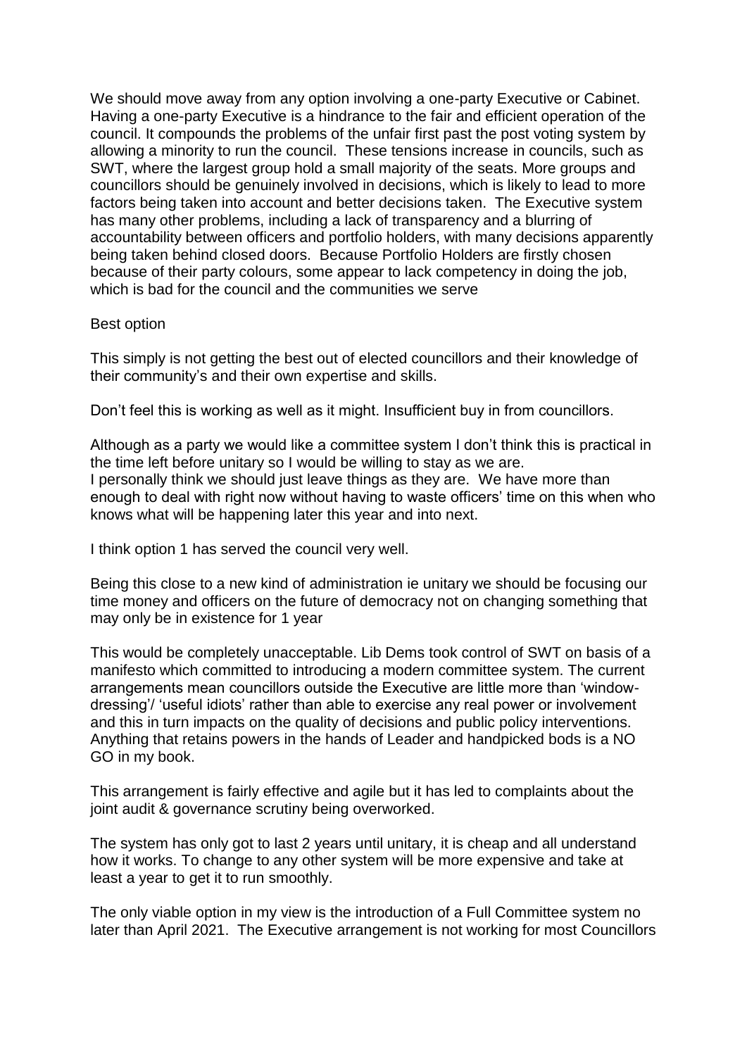We should move away from any option involving a one-party Executive or Cabinet. Having a one-party Executive is a hindrance to the fair and efficient operation of the council. It compounds the problems of the unfair first past the post voting system by allowing a minority to run the council. These tensions increase in councils, such as SWT, where the largest group hold a small majority of the seats. More groups and councillors should be genuinely involved in decisions, which is likely to lead to more factors being taken into account and better decisions taken. The Executive system has many other problems, including a lack of transparency and a blurring of accountability between officers and portfolio holders, with many decisions apparently being taken behind closed doors. Because Portfolio Holders are firstly chosen because of their party colours, some appear to lack competency in doing the job, which is bad for the council and the communities we serve

### Best option

This simply is not getting the best out of elected councillors and their knowledge of their community's and their own expertise and skills.

Don't feel this is working as well as it might. Insufficient buy in from councillors.

Although as a party we would like a committee system I don't think this is practical in the time left before unitary so I would be willing to stay as we are. I personally think we should just leave things as they are. We have more than enough to deal with right now without having to waste officers' time on this when who knows what will be happening later this year and into next.

I think option 1 has served the council very well.

Being this close to a new kind of administration ie unitary we should be focusing our time money and officers on the future of democracy not on changing something that may only be in existence for 1 year

This would be completely unacceptable. Lib Dems took control of SWT on basis of a manifesto which committed to introducing a modern committee system. The current arrangements mean councillors outside the Executive are little more than 'windowdressing'/ 'useful idiots' rather than able to exercise any real power or involvement and this in turn impacts on the quality of decisions and public policy interventions. Anything that retains powers in the hands of Leader and handpicked bods is a NO GO in my book.

This arrangement is fairly effective and agile but it has led to complaints about the joint audit & governance scrutiny being overworked.

The system has only got to last 2 years until unitary, it is cheap and all understand how it works. To change to any other system will be more expensive and take at least a year to get it to run smoothly.

The only viable option in my view is the introduction of a Full Committee system no later than April 2021. The Executive arrangement is not working for most Councillors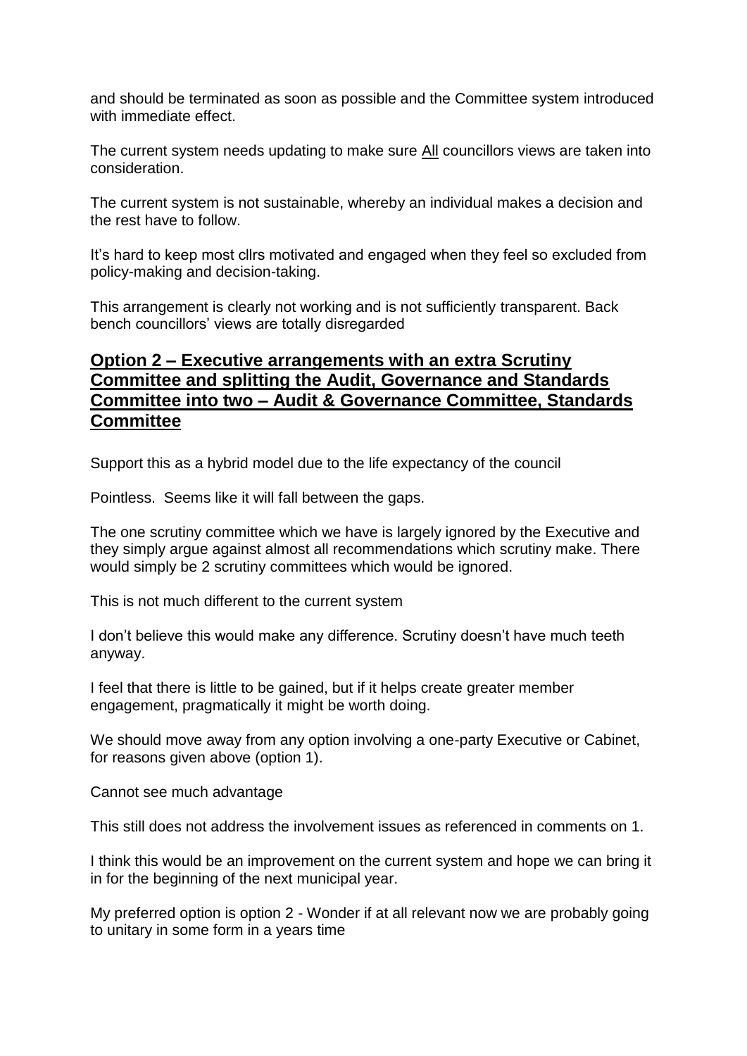and should be terminated as soon as possible and the Committee system introduced with immediate effect.

The current system needs updating to make sure All councillors views are taken into consideration.

The current system is not sustainable, whereby an individual makes a decision and the rest have to follow.

It's hard to keep most cllrs motivated and engaged when they feel so excluded from policy-making and decision-taking.

This arrangement is clearly not working and is not sufficiently transparent. Back bench councillors' views are totally disregarded

# **Option 2 – Executive arrangements with an extra Scrutiny Committee and splitting the Audit, Governance and Standards Committee into two – Audit & Governance Committee, Standards Committee**

Support this as a hybrid model due to the life expectancy of the council

Pointless. Seems like it will fall between the gaps.

The one scrutiny committee which we have is largely ignored by the Executive and they simply argue against almost all recommendations which scrutiny make. There would simply be 2 scrutiny committees which would be ignored.

This is not much different to the current system

I don't believe this would make any difference. Scrutiny doesn't have much teeth anyway.

I feel that there is little to be gained, but if it helps create greater member engagement, pragmatically it might be worth doing.

We should move away from any option involving a one-party Executive or Cabinet, for reasons given above (option 1).

Cannot see much advantage

This still does not address the involvement issues as referenced in comments on 1.

I think this would be an improvement on the current system and hope we can bring it in for the beginning of the next municipal year.

My preferred option is option 2 - Wonder if at all relevant now we are probably going to unitary in some form in a years time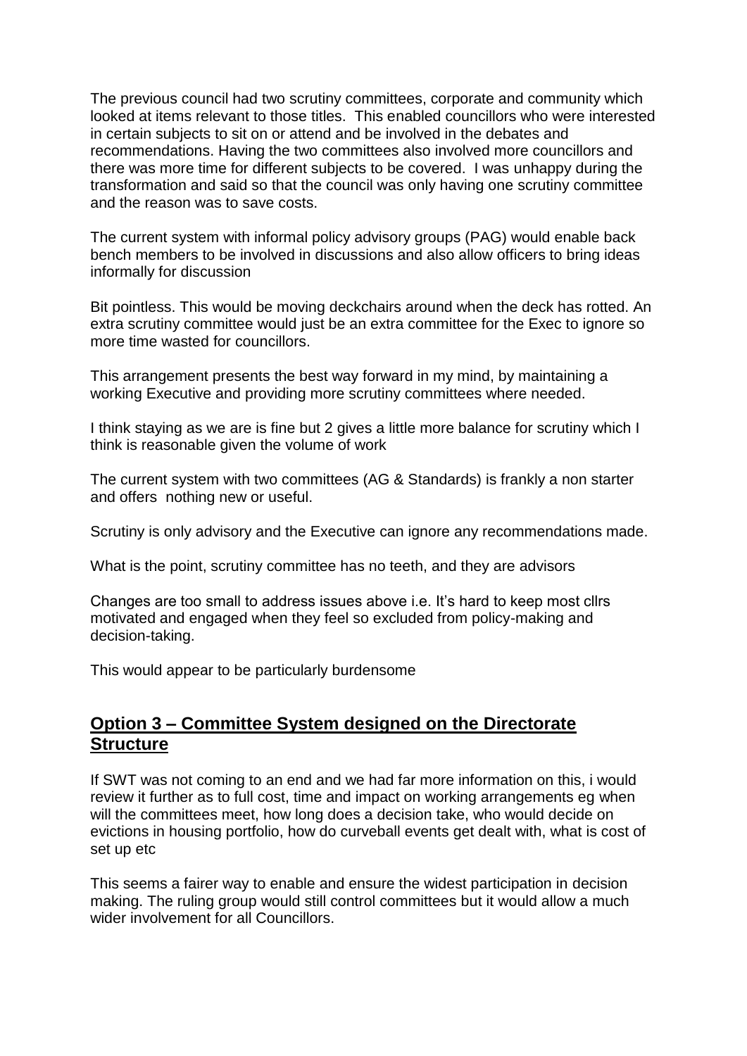The previous council had two scrutiny committees, corporate and community which looked at items relevant to those titles. This enabled councillors who were interested in certain subjects to sit on or attend and be involved in the debates and recommendations. Having the two committees also involved more councillors and there was more time for different subjects to be covered. I was unhappy during the transformation and said so that the council was only having one scrutiny committee and the reason was to save costs.

The current system with informal policy advisory groups (PAG) would enable back bench members to be involved in discussions and also allow officers to bring ideas informally for discussion

Bit pointless. This would be moving deckchairs around when the deck has rotted. An extra scrutiny committee would just be an extra committee for the Exec to ignore so more time wasted for councillors.

This arrangement presents the best way forward in my mind, by maintaining a working Executive and providing more scrutiny committees where needed.

I think staying as we are is fine but 2 gives a little more balance for scrutiny which I think is reasonable given the volume of work

The current system with two committees (AG & Standards) is frankly a non starter and offers nothing new or useful.

Scrutiny is only advisory and the Executive can ignore any recommendations made.

What is the point, scrutiny committee has no teeth, and they are advisors

Changes are too small to address issues above i.e. It's hard to keep most cllrs motivated and engaged when they feel so excluded from policy-making and decision-taking.

This would appear to be particularly burdensome

## **Option 3 – Committee System designed on the Directorate Structure**

If SWT was not coming to an end and we had far more information on this, i would review it further as to full cost, time and impact on working arrangements eg when will the committees meet, how long does a decision take, who would decide on evictions in housing portfolio, how do curveball events get dealt with, what is cost of set up etc

This seems a fairer way to enable and ensure the widest participation in decision making. The ruling group would still control committees but it would allow a much wider involvement for all Councillors.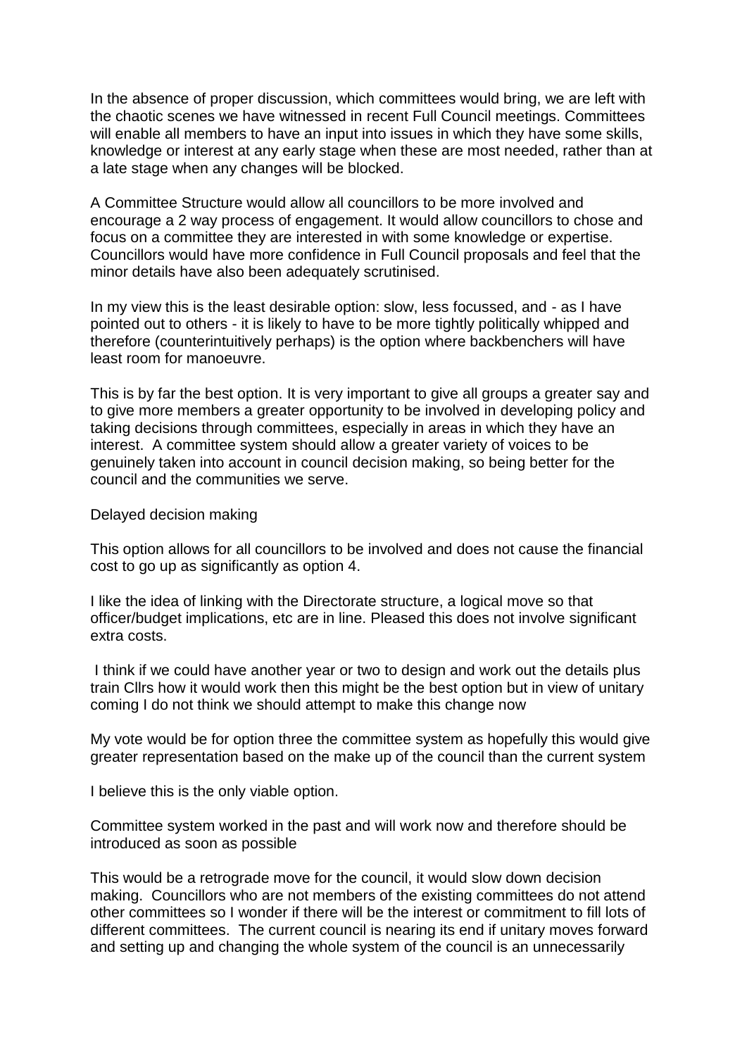In the absence of proper discussion, which committees would bring, we are left with the chaotic scenes we have witnessed in recent Full Council meetings. Committees will enable all members to have an input into issues in which they have some skills, knowledge or interest at any early stage when these are most needed, rather than at a late stage when any changes will be blocked.

A Committee Structure would allow all councillors to be more involved and encourage a 2 way process of engagement. It would allow councillors to chose and focus on a committee they are interested in with some knowledge or expertise. Councillors would have more confidence in Full Council proposals and feel that the minor details have also been adequately scrutinised.

In my view this is the least desirable option: slow, less focussed, and - as I have pointed out to others - it is likely to have to be more tightly politically whipped and therefore (counterintuitively perhaps) is the option where backbenchers will have least room for manoeuvre.

This is by far the best option. It is very important to give all groups a greater say and to give more members a greater opportunity to be involved in developing policy and taking decisions through committees, especially in areas in which they have an interest. A committee system should allow a greater variety of voices to be genuinely taken into account in council decision making, so being better for the council and the communities we serve.

Delayed decision making

This option allows for all councillors to be involved and does not cause the financial cost to go up as significantly as option 4.

I like the idea of linking with the Directorate structure, a logical move so that officer/budget implications, etc are in line. Pleased this does not involve significant extra costs.

I think if we could have another year or two to design and work out the details plus train Cllrs how it would work then this might be the best option but in view of unitary coming I do not think we should attempt to make this change now

My vote would be for option three the committee system as hopefully this would give greater representation based on the make up of the council than the current system

I believe this is the only viable option.

Committee system worked in the past and will work now and therefore should be introduced as soon as possible

This would be a retrograde move for the council, it would slow down decision making. Councillors who are not members of the existing committees do not attend other committees so I wonder if there will be the interest or commitment to fill lots of different committees. The current council is nearing its end if unitary moves forward and setting up and changing the whole system of the council is an unnecessarily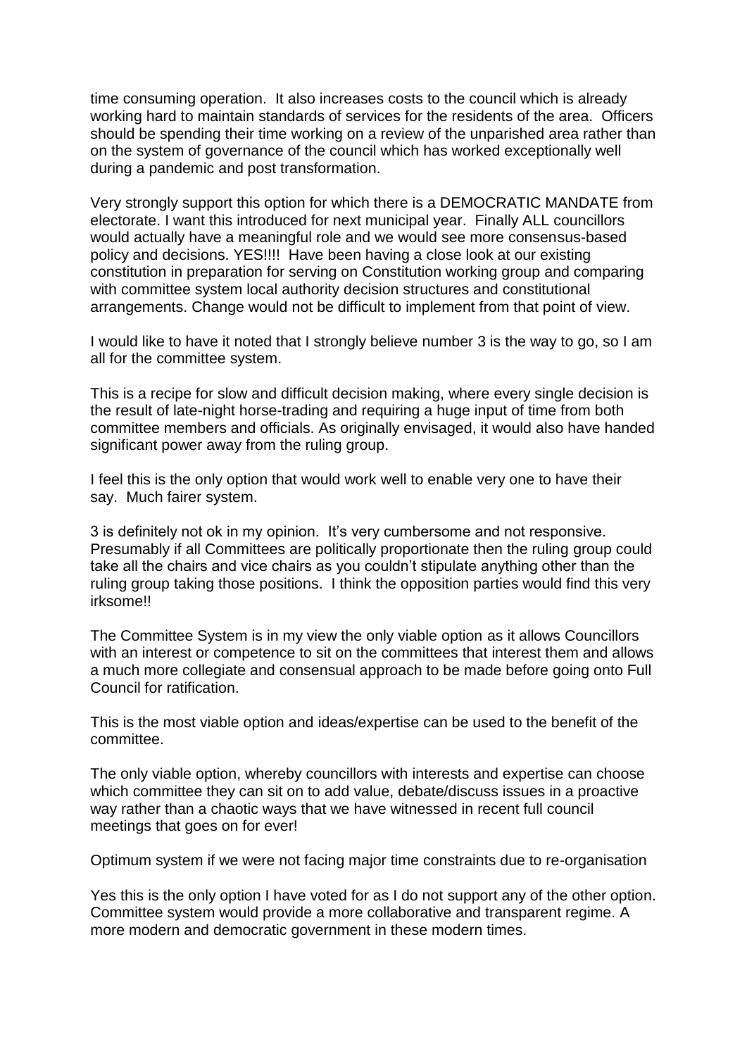time consuming operation. It also increases costs to the council which is already working hard to maintain standards of services for the residents of the area. Officers should be spending their time working on a review of the unparished area rather than on the system of governance of the council which has worked exceptionally well during a pandemic and post transformation.

Very strongly support this option for which there is a DEMOCRATIC MANDATE from electorate. I want this introduced for next municipal year. Finally ALL councillors would actually have a meaningful role and we would see more consensus-based policy and decisions. YES!!!! Have been having a close look at our existing constitution in preparation for serving on Constitution working group and comparing with committee system local authority decision structures and constitutional arrangements. Change would not be difficult to implement from that point of view.

I would like to have it noted that I strongly believe number 3 is the way to go, so I am all for the committee system.

This is a recipe for slow and difficult decision making, where every single decision is the result of late-night horse-trading and requiring a huge input of time from both committee members and officials. As originally envisaged, it would also have handed significant power away from the ruling group.

I feel this is the only option that would work well to enable very one to have their say. Much fairer system.

3 is definitely not ok in my opinion. It's very cumbersome and not responsive. Presumably if all Committees are politically proportionate then the ruling group could take all the chairs and vice chairs as you couldn't stipulate anything other than the ruling group taking those positions. I think the opposition parties would find this very irksome!!

The Committee System is in my view the only viable option as it allows Councillors with an interest or competence to sit on the committees that interest them and allows a much more collegiate and consensual approach to be made before going onto Full Council for ratification.

This is the most viable option and ideas/expertise can be used to the benefit of the committee.

The only viable option, whereby councillors with interests and expertise can choose which committee they can sit on to add value, debate/discuss issues in a proactive way rather than a chaotic ways that we have witnessed in recent full council meetings that goes on for ever!

Optimum system if we were not facing major time constraints due to re-organisation

Yes this is the only option I have voted for as I do not support any of the other option. Committee system would provide a more collaborative and transparent regime. A more modern and democratic government in these modern times.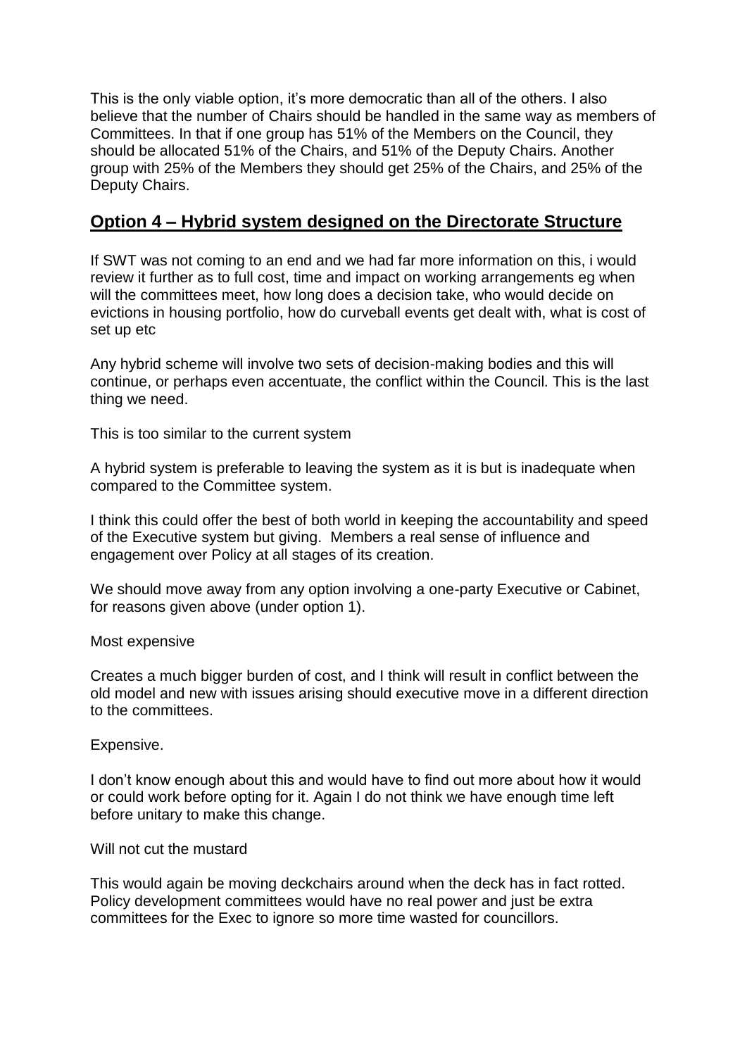This is the only viable option, it's more democratic than all of the others. I also believe that the number of Chairs should be handled in the same way as members of Committees. In that if one group has 51% of the Members on the Council, they should be allocated 51% of the Chairs, and 51% of the Deputy Chairs. Another group with 25% of the Members they should get 25% of the Chairs, and 25% of the Deputy Chairs.

# **Option 4 – Hybrid system designed on the Directorate Structure**

If SWT was not coming to an end and we had far more information on this, i would review it further as to full cost, time and impact on working arrangements eg when will the committees meet, how long does a decision take, who would decide on evictions in housing portfolio, how do curveball events get dealt with, what is cost of set up etc

Any hybrid scheme will involve two sets of decision-making bodies and this will continue, or perhaps even accentuate, the conflict within the Council. This is the last thing we need.

This is too similar to the current system

A hybrid system is preferable to leaving the system as it is but is inadequate when compared to the Committee system.

I think this could offer the best of both world in keeping the accountability and speed of the Executive system but giving. Members a real sense of influence and engagement over Policy at all stages of its creation.

We should move away from any option involving a one-party Executive or Cabinet, for reasons given above (under option 1).

### Most expensive

Creates a much bigger burden of cost, and I think will result in conflict between the old model and new with issues arising should executive move in a different direction to the committees.

### Expensive.

I don't know enough about this and would have to find out more about how it would or could work before opting for it. Again I do not think we have enough time left before unitary to make this change.

### Will not cut the mustard

This would again be moving deckchairs around when the deck has in fact rotted. Policy development committees would have no real power and just be extra committees for the Exec to ignore so more time wasted for councillors.